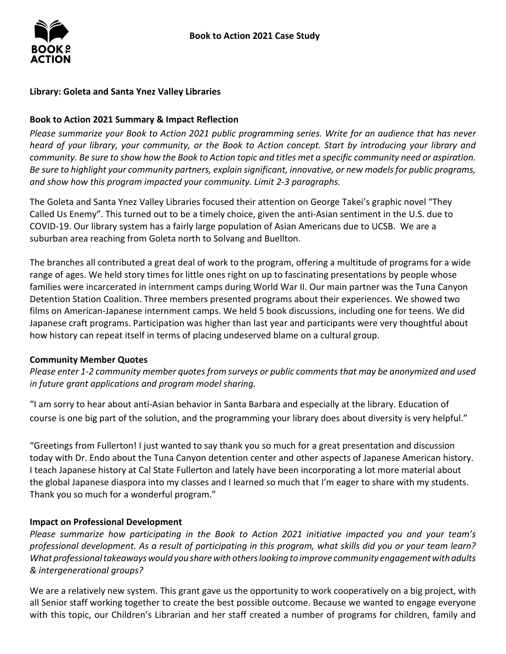

# **Library: Goleta and Santa Ynez Valley Libraries**

### **Book to Action 2021 Summary & Impact Reflection**

*Please summarize your Book to Action 2021 public programming series. Write for an audience that has never heard of your library, your community, or the Book to Action concept. Start by introducing your library and community. Be sure to show how the Book to Action topic and titles met a specific community need or aspiration. Be sure to highlight your community partners, explain significant, innovative, or new models for public programs, and show how this program impacted your community. Limit 2-3 paragraphs.* 

 The Goleta and Santa Ynez Valley Libraries focused their attention on George Takei's graphic novel "They Called Us Enemy". This turned out to be a timely choice, given the anti-Asian sentiment in the U.S. due to COVID-19. Our library system has a fairly large population of Asian Americans due to UCSB. We are a suburban area reaching from Goleta north to Solvang and Buellton.

 The branches all contributed a great deal of work to the program, offering a multitude of programs for a wide range of ages. We held story times for little ones right on up to fascinating presentations by people whose films on American-Japanese internment camps. We held 5 book discussions, including one for teens. We did Japanese craft programs. Participation was higher than last year and participants were very thoughtful about how history can repeat itself in terms of placing undeserved blame on a cultural group. families were incarcerated in internment camps during World War II. Our main partner was the Tuna Canyon Detention Station Coalition. Three members presented programs about their experiences. We showed two

#### **Community Member Quotes**

*Please enter 1-2 community member quotes from surveys or public comments that may be anonymized and used in future grant applications and program model sharing.* 

"I am sorry to hear about anti-Asian behavior in Santa Barbara and especially at the library. Education of course is one big part of the solution, and the programming your library does about diversity is very helpful."

 Thank you so much for a wonderful program." "Greetings from Fullerton! I just wanted to say thank you so much for a great presentation and discussion today with Dr. Endo about the Tuna Canyon detention center and other aspects of Japanese American history. I teach Japanese history at Cal State Fullerton and lately have been incorporating a lot more material about the global Japanese diaspora into my classes and I learned so much that I'm eager to share with my students.

# **Impact on Professional Development**

 *What professional takeaways would you share with others looking to improve community engagement with adults & intergenerational groups? Please summarize how participating in the Book to Action 2021 initiative impacted you and your team's professional development. As a result of participating in this program, what skills did you or your team learn?* 

 We are a relatively new system. This grant gave us the opportunity to work cooperatively on a big project, with all Senior staff working together to create the best possible outcome. Because we wanted to engage everyone with this topic, our Children's Librarian and her staff created a number of programs for children, family and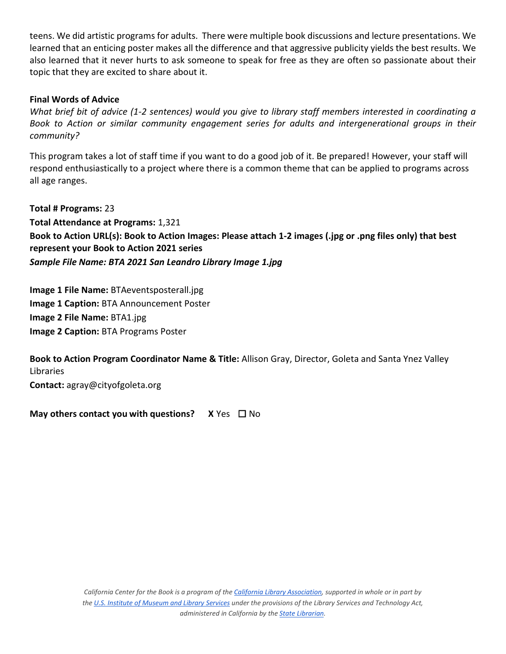teens. We did artistic programs for adults. There were multiple book discussions and lecture presentations. We learned that an enticing poster makes all the difference and that aggressive publicity yields the best results. We also learned that it never hurts to ask someone to speak for free as they are often so passionate about their topic that they are excited to share about it.

### **Final Words of Advice**

*What brief bit of advice (1-2 sentences) would you give to library staff members interested in coordinating a Book to Action or similar community engagement series for adults and intergenerational groups in their community?* 

 respond enthusiastically to a project where there is a common theme that can be applied to programs across This program takes a lot of staff time if you want to do a good job of it. Be prepared! However, your staff will all age ranges.

 **Total # Programs:** 23  *Sample File Name: BTA 2021 San Leandro Library Image 1.jpg*  **Total Attendance at Programs:** 1,321 **Book to Action URL(s): Book to Action Images: Please attach 1-2 images (.jpg or .png files only) that best represent your Book to Action 2021 series** 

 **Image 1 Caption:** BTA Announcement Poster **Image 2 File Name:** BTA1.jpg **Image 1 File Name:** BTAeventsposterall.jpg **Image 2 Caption:** BTA Programs Poster

**Book to Action Program Coordinator Name & Title:** Allison Gray, Director, Goleta and Santa Ynez Valley Libraries

**Contact:** agray@cityofgoleta.org

**May others contact you with questions?** X Yes □ No